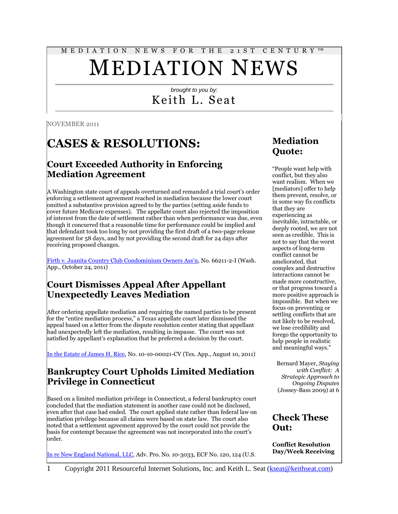#### M E D I A T I O N N E W S F O R T H E 2 1 S T C E N T U R Y ™

# MEDIATION NEWS

#### *brought to you by:* Keith L. Seat

NOVEMBER 2011

## **CASES & RESOLUTIONS:**

#### **Court Exceeded Authority in Enforcing Mediation Agreement**

A Washington state court of appeals overturned and remanded a trial court's order enforcing a settlement agreement reached in mediation because the lower court omitted a substantive provision agreed to by the parties (setting aside funds to cover future Medicare expenses). The appellate court also rejected the imposition of interest from the date of settlement rather than when performance was due, even though it concurred that a reasonable time for performance could be implied and that defendant took too long by not providing the first draft of a two-page release agreement for 58 days, and by not providing the second draft for 24 days after receiving proposed changes.

[Firth v. Juanita Country Club Condominium Owners Ass'n](http://scholar.google.com/scholar_case?case=9088533362168322285&hl=en&lr=lang_en&as_sdt=2,9&as_vis=1&oi=scholaralrt&ct=alrt&cd=11), No. 66211-2-I (Wash. App., October 24, 2011)

#### **Court Dismisses Appeal After Appellant Unexpectedly Leaves Mediation**

After ordering appellate mediation and requiring the named parties to be present for the "entire mediation process," a Texas appellate court later dismissed the appeal based on a letter from the dispute resolution center stating that appellant had unexpectedly left the mediation, resulting in impasse. The court was not satisfied by appellant's explanation that he preferred a decision by the court.

[In the Estate of James H. Rice,](http://www.10thcoa.courts.state.tx.us/opinions/PDFOpinion.asp?OpinionId=10775) No. 10-10-00021-CV (Tex. App., August 10, 2011)

#### **Bankruptcy Court Upholds Limited Mediation Privilege in Connecticut**

Based on a limited mediation privilege in Connecticut, a federal bankruptcy court concluded that the mediation statement in another case could not be disclosed, even after that case had ended. The court applied state rather than federal law on mediation privilege because all claims were based on state law. The court also noted that a settlement agreement approved by the court could not provide the basis for contempt because the agreement was not incorporated into the court's order.

[In re New England National, LLC,](http://scholar.google.com/scholar_case?case=595353060810749629&hl=en&lr=lang_en&as_sdt=2,9&as_vis=1&oi=scholaralrt&ct=alrt&cd=0) Adv. Pro. No. 10-3033, ECF No. 120, 124 (U.S.

#### **Mediation Quote:**

"People want help with conflict, but they also want realism. When we [mediators] offer to help them prevent, resolve, or in some way fix conflicts that they are experiencing as inevitable, intractable, or deeply rooted, we are not seen as credible. This is not to say that the worst aspects of long-term conflict cannot be ameliorated, that complex and destructive interactions cannot be made more constructive, or that progress toward a more positive approach is impossible. But when we focus on preventing or settling conflicts that are not likely to be resolved, we lose credibility and forego the opportunity to help people in realistic and meaningful ways."

Bernard Mayer, *Staying with Conflict: A Strategic Approach to Ongoing Disputes* (Jossey-Bass 2009) at 6

#### **Check These Out:**

**Conflict Resolution Day/Week Receiving**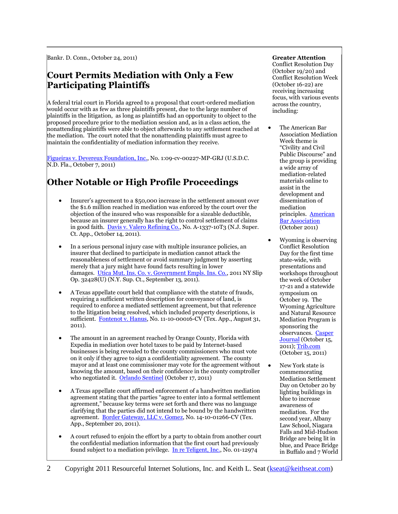Bankr. D. Conn., October 24, 2011)

#### **Court Permits Mediation with Only a Few Participating Plaintiffs**

A federal trial court in Florida agreed to a proposal that court-ordered mediation would occur with as few as three plaintiffs present, due to the large number of plaintiffs in the litigation, as long as plaintiffs had an opportunity to object to the proposed procedure prior to the mediation session and, as in a class action, the nonattending plaintiffs were able to object afterwards to any settlement reached at the mediation. The court noted that the nonattending plaintiffs must agree to maintain the confidentiality of mediation information they receive.

[Figueiras v. Devereux Foundation, Inc.,](http://scholar.google.com/scholar_case?case=3357954959102289527&hl=en&lr=lang_en&as_sdt=2,9&as_vis=1&oi=scholaralrt&ct=alrt&cd=0) No. 1:09-cv-00227-MP-GRJ (U.S.D.C. N.D. Fla., October 7, 2011)

### **Other Notable or High Profile Proceedings**

- Insurer's agreement to a \$50,000 increase in the settlement amount over the \$1.6 million reached in mediation was enforced by the court over the objection of the insured who was responsible for a sizeable deductible, because an insurer generally has the right to control settlement of claims in good faith. [Davis v. Valero Refining Co.,](http://scholar.google.com/scholar_case?case=4843124705000850016&hl=en&lr=lang_en&as_sdt=2,9&as_vis=1&oi=scholaralrt&ct=alrt&cd=1) No. A-1337-10T3 (N.J. Super. Ct. App., October 14, 2011).
- In a serious personal injury case with multiple insurance policies, an insurer that declined to participate in mediation cannot attack the reasonableness of settlement or avoid summary judgment by asserting merely that a jury might have found facts resulting in lower damages. [Utica Mut. Ins. Co. v. Government Empls. Ins. Co.,](http://scholar.google.com/scholar_case?case=4257485848052077044&hl=en&lr=lang_en&as_sdt=2,9&as_vis=1&oi=scholaralrt&ct=alrt&cd=2) 2011 NY Slip Op. 32428(U) (N.Y. Sup. Ct., September 13, 2011).
- A Texas appellate court held that compliance with the statute of frauds, requiring a sufficient written description for conveyance of land, is required to enforce a mediated settlement agreement, but that reference to the litigation being resolved, which included property descriptions, is sufficient. [Fontenot v. Hanus,](http://scholar.google.com/scholar_case?case=4626344132804592389&hl=en&lr=lang_en&as_sdt=2,9&as_vis=1&oi=scholaralrt&ct=alrt&cd=7) No. 11-10-00016-CV (Tex. App., August 31, 2011).
- The amount in an agreement reached by Orange County, Florida with Expedia in mediation over hotel taxes to be paid by Internet-based businesses is being revealed to the county commissioners who must vote on it only if they agree to sign a confidentiality agreement. The county mayor and at least one commissioner may vote for the agreement without knowing the amount, based on their confidence in the county comptroller who negotiated it. [Orlando Sentinel](http://www.orlandosentinel.com/business/os-orange-expedia-hotel-taxes-settlement-20111017,0,2975626.story) (October 17, 2011)
- A Texas appellate court affirmed enforcement of a handwritten mediation agreement stating that the parties "agree to enter into a formal settlement agreement," because key terms were set forth and there was no language clarifying that the parties did not intend to be bound by the handwritten agreement. [Border Gateway, LLC v. Gomez,](http://scholar.google.com/scholar_case?case=17661087015912654714&hl=en&lr=lang_en&as_sdt=2,9&as_vis=1&oi=scholaralrt&ct=alrt&cd=7) No. 14-10-01266-CV (Tex. App., September 20, 2011).
- A court refused to enjoin the effort by a party to obtain from another court the confidential mediation information that the first court had previously found subject to a mediation privilege. [In re Teligent, Inc.,](http://scholar.google.com/scholar_case?case=16806881043541156475&hl=en&lr=lang_en&as_sdt=2,9&as_vis=1&oi=scholaralrt&ct=alrt&cd=0) No. 01-12974

#### **Greater Attention**

Conflict Resolution Day (October 19/20) and Conflict Resolution Week (October 16-22) are receiving increasing focus, with various events across the country, including:

- The American Bar Association Mediation Week theme is "Civility and Civil Public Discourse" and the group is providing a wide array of mediation-related materials online to assist in the development and dissemination of mediation principles. [American](http://www.americanbar.org/groups/dispute_resolution/resources/national_mediation_week.html)  **[Bar Association](http://www.americanbar.org/groups/dispute_resolution/resources/national_mediation_week.html)** (October 2011)
- Wyoming is observing Conflict Resolution Day for the first time state-wide, with presentations and workshops throughout the week of October 17-21 and a statewide symposium on October 19. The Wyoming Agriculture and Natural Resource Mediation Program is sponsoring the observances. [Casper](http://www.casperjournal.com/news/quick_news/article_62844cf6-ebce-57ef-823b-468e7d6f019f.html)  [Journal](http://www.casperjournal.com/news/quick_news/article_62844cf6-ebce-57ef-823b-468e7d6f019f.html) (October 15, 2011); [Trib.com](http://trib.com/news/local/casper/casper-symposium-highlights-conflict-resolution-day/article_0faf2b55-49d3-5e5b-9240-cd0a783ad51e.html) (October 15, 2011)
- New York state is commemorating Mediation Settlement Day on October 20 by lighting buildings in blue to increase awareness of mediation. For the second year, Albany Law School, Niagara Falls and Mid-Hudson Bridge are being lit in blue, and Peace Bridge in Buffalo and 7 World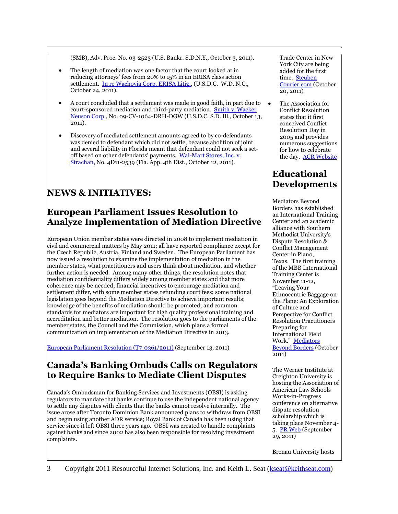(SMB), Adv. Proc. No. 03-2523 (U.S. Bankr. S.D.N.Y., October 3, 2011).

- The length of mediation was one factor that the court looked at in reducing attorneys' fees from 20% to 15% in an ERISA class action settlement. [In re Wachovia Corp. ERISA Litig.,](http://scholar.google.com/scholar_case?case=11176766230640060502&hl=en&lr=lang_en&as_sdt=2,9&as_vis=1&oi=scholaralrt&ct=alrt&cd=5) (U.S.D.C. W.D. N.C., October 24, 2011).
- A court concluded that a settlement was made in good faith, in part due to court-sponsored mediation and third-party mediation. [Smith v. Wacker](http://scholar.google.com/scholar_case?case=13229333588190380376&hl=en&lr=lang_en&as_sdt=2,9&as_vis=1&oi=scholaralrt&ct=alrt&cd=3)  [Neuson Corp.,](http://scholar.google.com/scholar_case?case=13229333588190380376&hl=en&lr=lang_en&as_sdt=2,9&as_vis=1&oi=scholaralrt&ct=alrt&cd=3) No. 09-CV-1064-DRH-DGW (U.S.D.C. S.D. Ill., October 13, 2011).
- Discovery of mediated settlement amounts agreed to by co-defendants was denied to defendant which did not settle, because abolition of joint and several liability in Florida meant that defendant could not seek a setoff based on other defendants' payments. Wal-Mart Stores, Inc. v. [Strachan,](http://scholar.google.com/scholar_case?case=14412409502421908881&hl=en&lr=lang_en&as_sdt=2,9&as_vis=1&oi=scholaralrt&ct=alrt&cd=15) No. 4D11-2539 (Fla. App. 4th Dist., October 12, 2011).

#### **NEWS & INITIATIVES:**

#### **European Parliament Issues Resolution to Analyze Implementation of Mediation Directive**

European Union member states were directed in 2008 to implement mediation in civil and commercial matters by May 2011; all have reported compliance except for the Czech Republic, Austria, Finland and Sweden. The European Parliament has now issued a resolution to examine the implementation of mediation in the member states, what practitioners and users think about mediation, and whether further action is needed. Among many other things, the resolution notes that mediation confidentiality differs widely among member states and that more coherence may be needed; financial incentives to encourage mediation and settlement differ, with some member states refunding court fees; some national legislation goes beyond the Mediation Directive to achieve important results; knowledge of the benefits of mediation should be promoted; and common standards for mediators are important for high quality professional training and accreditation and better mediation. The resolution goes to the parliaments of the member states, the Council and the Commission, which plans a formal communication on implementation of the Mediation Directive in 2013.

[European Parliament Resolution \(T7-0361/2011\)](http://www.europarl.europa.eu/sides/getDoc.do?pubRef=-//EP//TEXT+TA+P7-TA-2011-0361+0+DOC+XML+V0//EN) (September 13, 2011)

#### **Canada's Banking Ombuds Calls on Regulators to Require Banks to Mediate Client Disputes**

Canada's Ombudsman for Banking Services and Investments (OBSI) is asking regulators to mandate that banks continue to use the independent national agency to settle any disputes with clients that the banks cannot resolve internally. The issue arose after Toronto Dominion Bank announced plans to withdraw from OBSI and begin using another ADR service; Royal Bank of Canada has been using that service since it left OBSI three years ago. OBSI was created to handle complaints against banks and since 2002 has also been responsible for resolving investment complaints.

Trade Center in New York City are being added for the first time. [Steuben](http://www.steubencourier.com/news_now/x464385053/State-landmarks-to-celebrate-Mediation-Settlement-Day)  [Courier.com](http://www.steubencourier.com/news_now/x464385053/State-landmarks-to-celebrate-Mediation-Settlement-Day) (October 20, 2011)

 The Association for Conflict Resolution states that it first conceived Conflict Resolution Day in 2005 and provides numerous suggestions for how to celebrate the day. [ACR Website](http://www.acrnet.org/crday/)

#### **Educational Developments**

Mediators Beyond Borders has established an International Training Center and an academic alliance with Southern Methodist University's Dispute Resolution & Conflict Management Center in Plano, Texas. The first training of the MBB International Training Center is November 11-12, "Leaving Your Ethnocentric Baggage on the Plane: An Exploration of Culture and Perspective for Conflict Resolution Practitioners Preparing for International Field Work." [Mediators](http://www.mediatorsbeyondborders.org/what/documents/MBBSMUITC-Nov11-12-Agenda-fordistribution82211.pdf)  [Beyond Borders](http://www.mediatorsbeyondborders.org/what/documents/MBBSMUITC-Nov11-12-Agenda-fordistribution82211.pdf) (October 2011)

The Werner Institute at Creighton University is hosting the Association of American Law Schools Works-in-Progress conference on alternative dispute resolution scholarship which is taking place November 4- 5. [PR Web](http://www.prweb.com/releases/2011/9/prweb8836566.htm) (September 29, 2011)

Brenau University hosts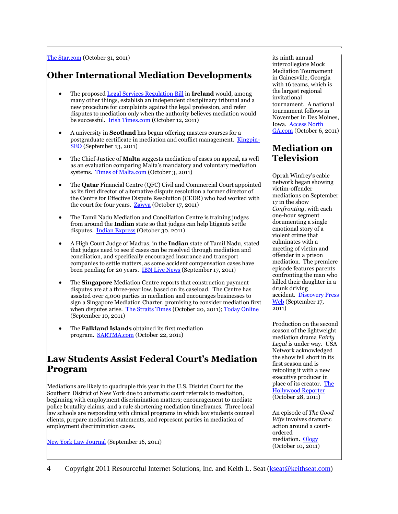[The Star.com](http://www.thestar.com/business/article/1079063--don-t-let-banks-opt-out-of-customer-complaints-system-ombud-asks) (October 31, 2011)

#### **Other International Mediation Developments**

- The proposed [Legal Services Regulation Bill](http://www.oireachtas.ie/documents/bills28/bills/2011/5811/document2.pdf) in **Ireland** would, among many other things, establish an independent disciplinary tribunal and a new procedure for complaints against the legal profession, and refer disputes to mediation only when the authority believes mediation would be successful. [Irish Times.com](http://www.irishtimes.com/newspaper/breaking/2011/1012/breaking35.html) (October 12, 2011)
- A university in **Scotland** has begun offering masters courses for a postgraduate certificate in mediation and conflict management. [Kingpin-](http://www.kingpin-seo.co.uk/press-releases/get-a-degree-in-workplace-mediation/213311)[SEO](http://www.kingpin-seo.co.uk/press-releases/get-a-degree-in-workplace-mediation/213311) (September 13, 2011)
- The Chief Justice of **Malta** suggests mediation of cases on appeal, as well as an evaluation comparing Malta's mandatory and voluntary mediation systems. [Times of Malta.com](http://www.timesofmalta.com/articles/view/20111003/local/chief-justice-suggests-mediation-while-appeals-are-pending.387623) (October 3, 2011)
- The **Qatar** Financial Centre (QFC) Civil and Commercial Court appointed as its first director of alternative dispute resolution a former director of the Centre for Effective Dispute Resolution (CEDR) who had worked with the court for four years. **[Zawya](http://www.zawya.com/story.cfm/sidZAWYA20111017133536)** (October 17, 2011)
- The Tamil Nadu Mediation and Conciliation Centre is training judges from around the **Indian** state so that judges can help litigants settle disputes. [Indian Express](http://www.indianexpress.com/news/mediator-force-to-get-more-hands/867640/0) (October 30, 2011)
- A High Court Judge of Madras, in the **Indian** state of Tamil Nadu, stated that judges need to see if cases can be resolved through mediation and conciliation, and specifically encouraged insurance and transport companies to settle matters, as some accident compensation cases have been pending for 20 years. **[IBN Live News](http://ibnlive.in.com/generalnewsfeed/news/approach-lok-adalats-with-open-mind-judge/827171.html)** (September 17, 2011)
- The **Singapore** Mediation Centre reports that construction payment disputes are at a three-year low, based on its caseload. The Centre has assisted over 4,000 parties in mediation and encourages businesses to sign a Singapore Mediation Charter, promising to consider mediation first when disputes arise. [The Straits Times](http://www.straitstimes.com/BreakingNews/Singapore/Story/STIStory_725398.html) (October 20, 2011)[; Today Online](http://www.todayonline.com/Singapore/EDC110910-0000274/More-than-4,000-parties-have-voluntarily-engaged-in-mediation) (September 10, 2011)
- The **Falkland Islands** obtained its first mediation program. **[SARTMA.com](http://sartma.com/art_9206.html)** (October 22, 2011)

#### **Law Students Assist Federal Court's Mediation Program**

Mediations are likely to quadruple this year in the U.S. District Court for the Southern District of New York due to automatic court referrals to mediation, beginning with employment discrimination matters; encouragement to mediate police brutality claims; and a rule shortening mediation timeframes. Three local law schools are responding with clinical programs in which law students counsel clients, prepare mediation statements, and represent parties in mediation of employment discrimination cases.

[New York Law Journal](http://www.newyorklawjournal.com/PubArticleNY.jsp?id=1202514585271&Southern_District_Taps_Law_Students_For_Role_in_Court_Mediation_Program&slreturn=1) (September 16, 2011)

its ninth annual intercollegiate Mock Mediation Tournament in Gainesville, Georgia with 16 teams, which is the largest regional invitational tournament. A national tournament follows in November in Des Moines, Iowa. [Access North](http://www.accessnorthga.com/detail.php?n=242539)  [GA.com](http://www.accessnorthga.com/detail.php?n=242539) (October 6, 2011)

#### **Mediation on Television**

Oprah Winfrey's cable network began showing victim-offender mediations on September 17 in the show *Confronting*, with each one-hour segment documenting a single emotional story of a violent crime that culminates with a meeting of victim and offender in a prison mediation. The premiere episode features parents confronting the man who killed their daughter in a drunk driving accident. [Discovery Press](http://press.discovery.com/us/own/programs/confronting/)  [Web](http://press.discovery.com/us/own/programs/confronting/) (September 17, 2011)

Production on the second season of the lightweight mediation drama *Fairly Legal* is under way. USA Network acknowledged the show fell short in its first season and is retooling it with a new executive producer in place of its creator. [The](http://www.hollywoodreporter.com/live-feed/fairly-legal-ryan-johnson-series-regular-254721)  [Hollywood Reporter](http://www.hollywoodreporter.com/live-feed/fairly-legal-ryan-johnson-series-regular-254721) (October 28, 2011)

An episode of *The Good Wife* involves dramatic action around a courtordered mediation. [Ology](http://ology.com/tv/good-wife-recap-get-room) (October 10, 2011)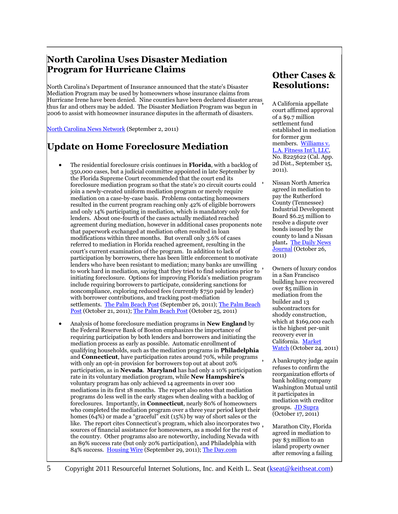#### **North Carolina Uses Disaster Mediation Program for Hurricane Claims**

North Carolina's Department of Insurance announced that the state's Disaster Mediation Program may be used by homeowners whose insurance claims from Hurricane Irene have been denied. Nine counties have been declared disaster areas thus far and others may be added. The Disaster Mediation Program was begun in 2006 to assist with homeowner insurance disputes in the aftermath of disasters.

[North Carolina News Network](http://www.ncnn.com/edit-news/7221-state-announces-mediation-assistance-with-insurance-claims) (September 2, 2011)

#### **Update on Home Foreclosure Mediation**

- The residential foreclosure crisis continues in **Florida**, with a backlog of 350,000 cases, but a judicial committee appointed in late September by the Florida Supreme Court recommended that the court end its foreclosure mediation program so that the state's 20 circuit courts could join a newly-created uniform mediation program or merely require mediation on a case-by-case basis. Problems contacting homeowners resulted in the current program reaching only 42% of eligible borrowers and only 14% participating in mediation, which is mandatory only for lenders. About one-fourth of the cases actually mediated reached agreement during mediation, however in additional cases proponents note that paperwork exchanged at mediation often resulted in loan modifications within three months. But overall only 3.6% of cases referred to mediation in Florida reached agreement, resulting in the court's current examination of the program. In addition to lack of participation by borrowers, there has been little enforcement to motivate lenders who have been resistant to mediation; many banks are unwilling to work hard in mediation, saying that they tried to find solutions prior to initiating foreclosure. Options for improving Florida's mediation program include requiring borrowers to participate, considering sanctions for noncompliance, exploring reduced fees (currently \$750 paid by lender) with borrower contributions, and tracking post-mediation settlements. [The Palm Beach Post](http://www.palmbeachpost.com/money/foreclosures/florida-supreme-court-reconsidering-foreclosure-mediation-program-1880655.html) (September 26, 2011); The Palm Beach [Post](http://www.palmbeachpost.com/money/foreclosures/panel-kill-foreclosure-mediation-1927455.html) (October 21, 2011)[; The Palm Beach Post](http://www.palmbeachpost.com/money/foreclosures/s-florida-judges-brace-for-a-possible-fallout-1933766.html) (October 25, 2011)
- Analysis of home foreclosure mediation programs in **New England** by the Federal Reserve Bank of Boston emphasizes the importance of requiring participation by both lenders and borrowers and initiating the mediation process as early as possible. Automatic enrollment of qualifying households, such as the mediation programs in **Philadelphia** and **Connecticut**, have participation rates around 70%, while programs with only an opt-in provision for borrowers top out at about 20% participation, as in **Nevada**. **Maryland** has had only a 10% participation rate in its voluntary mediation program, while **New Hampshire's** voluntary program has only achieved 14 agreements in over 100 mediations in its first 18 months. The report also notes that mediation programs do less well in the early stages when dealing with a backlog of foreclosures. Importantly, in **Connecticut**, nearly 80% of homeowners who completed the mediation program over a three year period kept their homes (64%) or made a "graceful" exit (15%) by way of short sales or the like. The report cites Connecticut's program, which also incorporates two sources of financial assistance for homeowners, as a model for the rest of the country. Other programs also are noteworthy, including Nevada with an 89% success rate (but only 20% participation), and Philadelphia with 84% success. [Housing Wire](http://www.housingwire.com/2011/09/29/boston-fed-forced-foreclosure-mediation-more-successful) (September 29, 2011); [The Day.com](http://www.theday.com/article/20110930/BIZ04/309309897/1044)

#### **Other Cases & Resolutions:**

 A California appellate court affirmed approval of a \$9.7 million settlement fund established in mediation for former gym members. [Williams v.](http://scholar.google.com/scholar_case?case=3262432103624326539&hl=en&lr=lang_en&as_sdt=2,9&as_vis=1&oi=scholaralrt&ct=alrt&cd=0)  [L.A. Fitness Int'l, LLC](http://scholar.google.com/scholar_case?case=3262432103624326539&hl=en&lr=lang_en&as_sdt=2,9&as_vis=1&oi=scholaralrt&ct=alrt&cd=0), No. B225622 (Cal. App. 2d Dist., September 15, 2011).

 Nissan North America agreed in mediation to pay the Rutherford County (Tennessee) Industrial Development Board \$6.25 million to resolve a dispute over bonds issued by the county to land a Nissan plant**.** [The Daily News](http://www.dnj.com/article/20111026/NEWS01/111026003)  [Journal](http://www.dnj.com/article/20111026/NEWS01/111026003) (October 26, 2011)

 Owners of luxury condos in a San Francisco building have recovered over \$5 million in mediation from the builder and 13 subcontractors for shoddy construction, which at \$169,000 each is the highest per-unit recovery ever in California. [Market](http://www.marketwatch.com/story/luxury-condo-owners-recover-record-54-million-for-faulty-construction-2011-10-24)  [Watch](http://www.marketwatch.com/story/luxury-condo-owners-recover-record-54-million-for-faulty-construction-2011-10-24) (October 24, 2011)

 A bankruptcy judge again refuses to confirm the reorganization efforts of bank holding company Washington Mutual until it participates in mediation with creditor groups. [JD Supra](http://www.jdsupra.com/post/documentViewer.aspx?fid=85fa1f96-bd63-43ce-a2a2-602704b3520e) (October 17, 2011)

 Marathon City, Florida agreed in mediation to pay \$3 million to an island property owner after removing a failing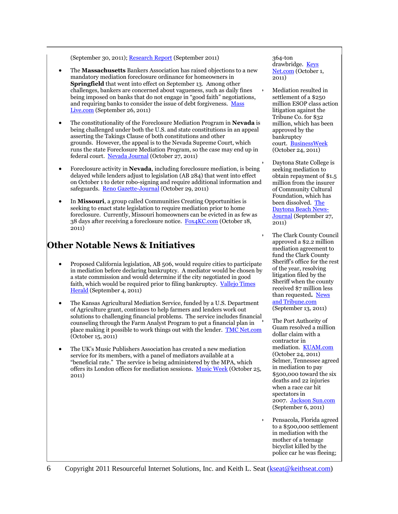(September 30, 2011)[; Research Report](http://www.google.com/url?sa=t&rct=j&q=state%20foreclosure%20efforts%20in%20new%20england&source=web&cd=1&ved=0CEMQFjAA&url=http%3A%2F%2Fwww.bos.frb.org%2Feconomic%2Fneppc%2Fresearchreports%2F2011%2Fneppcrr1103.pdf&ei=lgy4TujhGYrg2AW63ciRAQ&usg=AFQjCNE8ZcMtpFrucqQDv54djGGQtPVbmg) (September 2011)

- The **Massachusetts** Bankers Association has raised objections to a new mandatory mediation foreclosure ordinance for homeowners in **Springfield** that went into effect on September 13. Among other challenges, bankers are concerned about vagueness, such as daily fines being imposed on banks that do not engage in "good faith" negotiations, and requiring banks to consider the issue of debt forgiveness. [Mass](http://www.masslive.com/news/index.ssf/2011/09/massachusetts_bankers_associat.html)  [Live.com](http://www.masslive.com/news/index.ssf/2011/09/massachusetts_bankers_associat.html) (September 26, 2011)
- The constitutionality of the Foreclosure Mediation Program in **Nevada** is being challenged under both the U.S. and state constitutions in an appeal asserting the Takings Clause of both constitutions and other grounds. However, the appeal is to the Nevada Supreme Court, which runs the state Foreclosure Mediation Program, so the case may end up in federal court. [Nevada Journal](http://nevadajournal.com/2011/10/25/second-lawsuit-challenges-constitutionality-foreclosure-mediation-program/) (October 27, 2011)
- Foreclosure activity in **Nevada**, including foreclosure mediation, is being delayed while lenders adjust to legislation (AB 284) that went into effect on October 1 to deter robo-signing and require additional information and safeguards. [Reno Gazette-Journal](http://www.rgj.com/article/20111030/BIZ02/110300338/Notices-default-could-hit-record-low-due-new-Nevada-law) (October 29, 2011)
- In **Missouri**, a group called Communities Creating Opportunities is seeking to enact state legislation to require mediation prior to home foreclosure. Currently, Missouri homeowners can be evicted in as few as 38 days after receiving a foreclosure notice. [Fox4KC.com](http://www.fox4kc.com/news/wdaf-kansas-city-foreclosure-community-gathers-to-support-foreclosure-mediation-law-20111018,0,7662679.story) (October 18, 2011)

#### **Other Notable News & Initiatives**

- Proposed California legislation, AB 506, would require cities to participate in mediation before declaring bankruptcy. A mediator would be chosen by a state commission and would determine if the city negotiated in good faith, which would be required prior to filing bankruptcy. Vallejo Times [Herald](http://www.timesheraldonline.com/news/ci_18825197) (September 4, 2011)
- The Kansas Agricultural Mediation Service, funded by a U.S. Department of Agriculture grant, continues to help farmers and lenders work out solutions to challenging financial problems. The service includes financial counseling through the Farm Analyst Program to put a financial plan in place making it possible to work things out with the lender. [TMC Net.com](http://sip-trunking.tmcnet.com/news/2011/10/15/5858299.htm) (October 15, 2011)
- The UK's Music Publishers Association has created a new mediation service for its members, with a panel of mediators available at a "beneficial rate." The service is being administered by the MPA, which offers its London offices for mediation sessions. [Music Week](http://www.musicweek.com/story.asp?sectioncode=1&storycode=1047150&c=1) (October 25, 2011)

364-ton drawbridge. Keys [Net.com](http://www.keysnet.com/2011/10/01/383099/city-our-3-million-in-boot-key.html) (October 1, 2011)

- Mediation resulted in settlement of a \$250 million ESOP class action litigation against the Tribune Co. for \$32 million, which has been approved by the bankruptcy court. [BusinessWeek](http://www.businessweek.com/news/2011-10-24/lehman-innkeepers-madoff-tribune-xanadoo-bankruptcy.html) (October 24, 2011)
- Daytona State College is seeking mediation to obtain repayment of \$1.5 million from the insurer of Community Cultural Foundation, which has been dissolved. [The](http://www.news-journalonline.com/news/local/east-volusia/2011/09/27/state-dissolves-community-cultural-foundation-as-daytona-state-seeks-15-million-repayment.html)  [Daytona Beach News-](http://www.news-journalonline.com/news/local/east-volusia/2011/09/27/state-dissolves-community-cultural-foundation-as-daytona-state-seeks-15-million-repayment.html)[Journal](http://www.news-journalonline.com/news/local/east-volusia/2011/09/27/state-dissolves-community-cultural-foundation-as-daytona-state-seeks-15-million-repayment.html) (September 27, 2011)
- The Clark County Council approved a \$2.2 million mediation agreement to fund the Clark County Sheriff's office for the rest of the year, resolving litigation filed by the Sheriff when the county received \$7 million less than requested**.** [News](http://newsandtribune.com/clarkcounty/x1078458176/Clark-Council-settles-multiple-mandates)  [and Tribune.com](http://newsandtribune.com/clarkcounty/x1078458176/Clark-Council-settles-multiple-mandates) (September 13, 2011)

 The Port Authority of Guam resolved a million dollar claim with a contractor in mediation. [KUAM.com](http://www.kuam.com/story/15865068/2011/10/24/ort-watts-settle-lawsuit) (October 24, 2011) Selmer, Tennessee agreed in mediation to pay \$500,000 toward the six deaths and 22 injuries when a race car hit spectators in 2007. [Jackson Sun.com](http://www.jacksonsun.com/article/20110907/NEWS01/109070320/Selmer-offers-500K-crash-victims) (September 6, 2011)

 Pensacola, Florida agreed to a \$500,000 settlement in mediation with the mother of a teenage bicyclist killed by the police car he was fleeing;